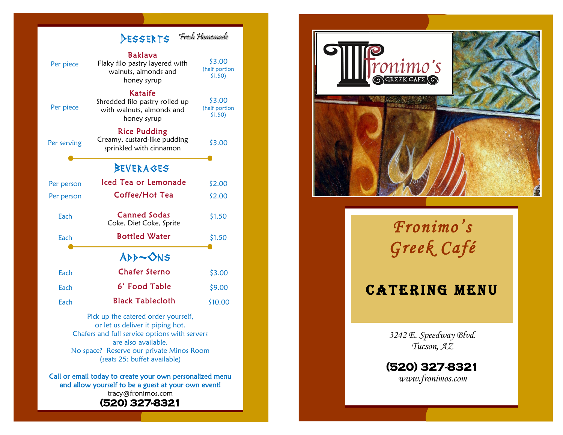

are also available. No space? Reserve our private Minos Room (seats 25; buffet available)

Call or email today to create your own personalized menu and allow yourself to be a guest at your own event! tracy@fronimos.com **(520) 327 -8321** 



*Fronimo's Greek Café* 

## **CATERING MENU**

*3242 E. Speedway Blvd. Tucson, AZ*

**(520) 327 -8321**  *www.fronimos.com*